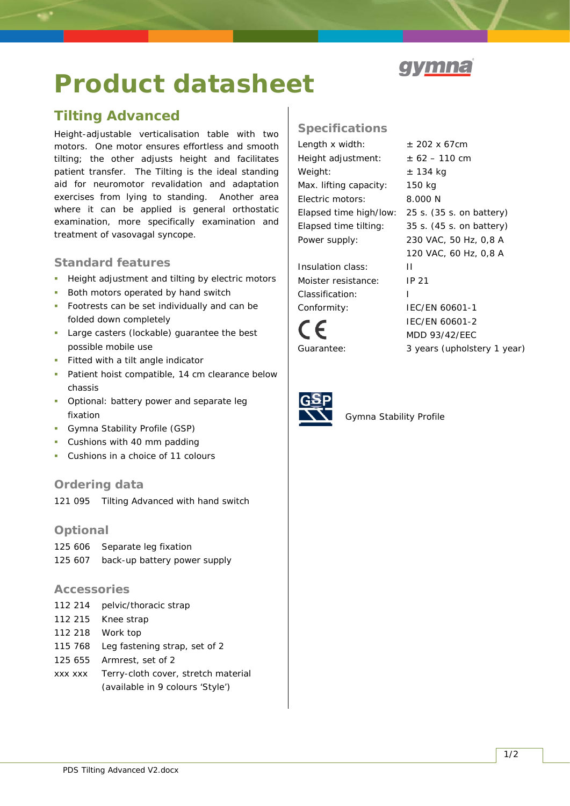# **Product datasheet**

# **Tilting Advanced**

*Height-adjustable verticalisation table with two motors. One motor ensures effortless and smooth tilting; the other adjusts height and facilitates patient transfer. The Tilting is the ideal standing aid for neuromotor revalidation and adaptation exercises from lying to standing. Another area where it can be applied is general orthostatic examination, more specifically examination and treatment of vasovagal syncope.*

## **Standard features**

- **Height adjustment and tilting by electric motors**
- Both motors operated by hand switch
- Footrests can be set individually and can be folded down completely
- **Large casters (lockable) quarantee the best** possible mobile use
- Fitted with a tilt angle indicator
- **Patient hoist compatible, 14 cm clearance below** chassis
- **•** Optional: battery power and separate leg fixation
- Gymna Stability Profile (GSP)
- **Cushions with 40 mm padding**
- Cushions in a choice of 11 colours

### **Ordering data**

121 095 Tilting Advanced with hand switch

#### **Optional**

125 606 Separate leg fixation 125 607 back-up battery power supply

#### **Accessories**

| 112 214 pelvic/thoracic strap               |
|---------------------------------------------|
| 112 215 Knee strap                          |
| 112 218 Work top                            |
| 115 768 Leg fastening strap, set of 2       |
| 125 655 Armrest, set of 2                   |
| xxx xxx Terry-cloth cover, stretch material |
| (available in 9 colours 'Style')            |

## **Specifications**

Length x width:  $\pm 202 \times 67$ cm Height adjustment:  $\pm 62 - 110$  cm Weight:  $\pm$  134 kg Max. lifting capacity: 150 kg Electric motors: 8.000 N Power supply: 230 VAC, 50 Hz, 0,8 A

Insulation class: II Moister resistance: IP 21 Classification: I Conformity: IEC/EN 60601-1



Elapsed time high/low: 25 s. (35 s. on battery) Elapsed time tilting: 35 s. (45 s. on battery) 120 VAC, 60 Hz, 0,8 A IEC/EN 60601-2

MDD 93/42/EEC

Guarantee: 3 years (upholstery 1 year)



Gymna Stability Profile